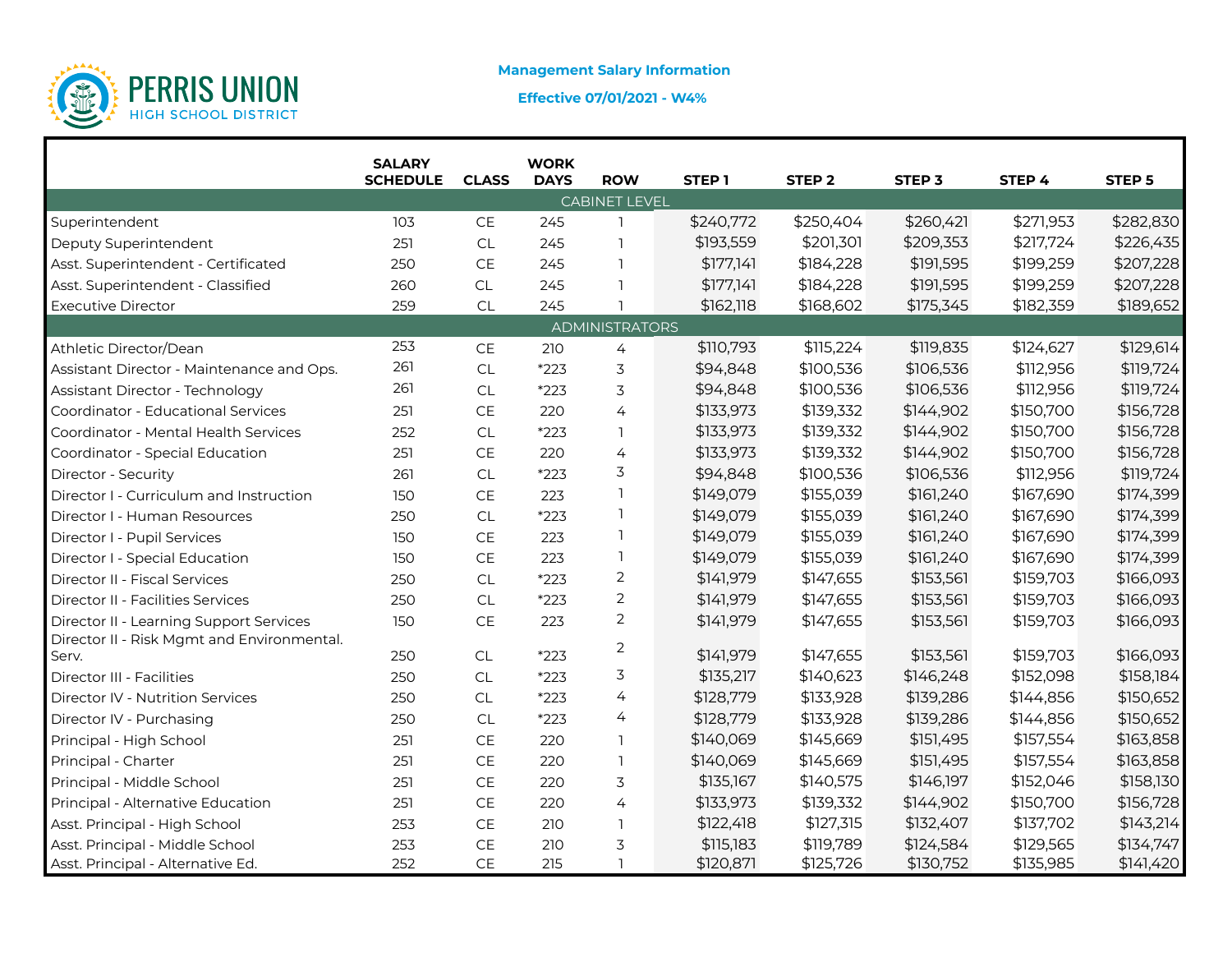

# **Effective 07/01/2021 - W4%**

|                                            | <b>SALARY</b><br><b>SCHEDULE</b> | <b>CLASS</b>                  | <b>WORK</b><br><b>DAYS</b> | <b>ROW</b>            | STEP <sub>1</sub> | STEP <sub>2</sub> | STEP <sub>3</sub> | STEP 4    | STEP <sub>5</sub> |
|--------------------------------------------|----------------------------------|-------------------------------|----------------------------|-----------------------|-------------------|-------------------|-------------------|-----------|-------------------|
|                                            |                                  |                               |                            | <b>CABINET LEVEL</b>  |                   |                   |                   |           |                   |
| Superintendent                             | 103                              | CE                            | 245                        | $\mathbf{1}$          | \$240,772         | \$250,404         | \$260,421         | \$271,953 | \$282,830         |
| Deputy Superintendent                      | 251                              | CL                            | 245                        | $\mathbf{1}$          | \$193,559         | \$201,301         | \$209,353         | \$217,724 | \$226,435         |
| Asst. Superintendent - Certificated        | 250                              | $\mathsf{CE}$                 | 245                        | 1                     | \$177,141         | \$184,228         | \$191,595         | \$199,259 | \$207,228         |
| Asst. Superintendent - Classified          | 260                              | CL                            | 245                        |                       | \$177,141         | \$184,228         | \$191,595         | \$199,259 | \$207,228         |
| <b>Executive Director</b>                  | 259                              | CL                            | 245                        |                       | \$162,118         | \$168,602         | \$175,345         | \$182,359 | \$189,652         |
|                                            |                                  |                               |                            | <b>ADMINISTRATORS</b> |                   |                   |                   |           |                   |
| Athletic Director/Dean                     | 253                              | CE                            | 210                        | $\overline{4}$        | \$110,793         | \$115,224         | \$119,835         | \$124,627 | \$129,614         |
| Assistant Director - Maintenance and Ops.  | 261                              | <b>CL</b>                     | $*223$                     | 3                     | \$94,848          | \$100,536         | \$106,536         | \$112,956 | \$119,724         |
| Assistant Director - Technology            | 261                              | <b>CL</b>                     | *223                       | 3                     | \$94,848          | \$100,536         | \$106,536         | \$112,956 | \$119,724         |
| Coordinator - Educational Services         | 251                              | $\mathsf{CE}$                 | 220                        | $\overline{4}$        | \$133,973         | \$139,332         | \$144,902         | \$150,700 | \$156,728         |
| Coordinator - Mental Health Services       | 252                              | CL                            | *223                       | <b>T</b>              | \$133,973         | \$139,332         | \$144,902         | \$150,700 | \$156,728         |
| Coordinator - Special Education            | 251                              | $\mathsf{CE}% _{\mathcal{A}}$ | 220                        | 4                     | \$133,973         | \$139,332         | \$144,902         | \$150,700 | \$156,728         |
| Director - Security                        | 261                              | CL                            | $*223$                     | 3                     | \$94,848          | \$100,536         | \$106,536         | \$112,956 | \$119,724         |
| Director I - Curriculum and Instruction    | 150                              | CE                            | 223                        | $\mathbf{1}$          | \$149,079         | \$155,039         | \$161,240         | \$167,690 | \$174,399         |
| Director I - Human Resources               | 250                              | CL                            | *223                       | 1                     | \$149,079         | \$155,039         | \$161,240         | \$167,690 | \$174,399         |
| Director I - Pupil Services                | 150                              | $\mathsf{CE}$                 | 223                        | 1                     | \$149,079         | \$155,039         | \$161,240         | \$167,690 | \$174,399         |
| Director I - Special Education             | 150                              | $\mathsf{CE}% _{\mathcal{A}}$ | 223                        | 1                     | \$149,079         | \$155,039         | \$161,240         | \$167,690 | \$174,399         |
| Director II - Fiscal Services              | 250                              | CL                            | $*223$                     | $\overline{2}$        | \$141,979         | \$147,655         | \$153,561         | \$159,703 | \$166,093         |
| Director II - Facilities Services          | 250                              | CL                            | $*223$                     | $\overline{2}$        | \$141,979         | \$147,655         | \$153,561         | \$159,703 | \$166,093         |
| Director II - Learning Support Services    | 150                              | $\mathsf{CE}$                 | 223                        | 2                     | \$141,979         | \$147,655         | \$153,561         | \$159,703 | \$166,093         |
| Director II - Risk Mgmt and Environmental. |                                  |                               |                            | $\overline{2}$        |                   |                   |                   |           |                   |
| Serv.                                      | 250                              | <b>CL</b>                     | $*223$                     |                       | \$141,979         | \$147,655         | \$153,561         | \$159,703 | \$166,093         |
| Director III - Facilities                  | 250                              | CL                            | $*223$                     | 3                     | \$135,217         | \$140,623         | \$146,248         | \$152,098 | \$158,184         |
| Director IV - Nutrition Services           | 250                              | CL                            | $*223$                     | 4                     | \$128,779         | \$133,928         | \$139,286         | \$144,856 | \$150,652         |
| Director IV - Purchasing                   | 250                              | <b>CL</b>                     | $*223$                     | 4                     | \$128,779         | \$133,928         | \$139,286         | \$144,856 | \$150,652         |
| Principal - High School                    | 251                              | CE                            | 220                        | $\mathbf{1}$          | \$140,069         | \$145,669         | \$151,495         | \$157,554 | \$163,858         |
| Principal - Charter                        | 251                              | $\mathsf{CE}% _{\mathcal{A}}$ | 220                        | <b>T</b>              | \$140,069         | \$145,669         | \$151,495         | \$157,554 | \$163,858         |
| Principal - Middle School                  | 251                              | $\mathsf{CE}$                 | 220                        | 3                     | \$135,167         | \$140,575         | \$146,197         | \$152,046 | \$158,130         |
| Principal - Alternative Education          | 251                              | CE                            | 220                        | 4                     | \$133,973         | \$139,332         | \$144,902         | \$150,700 | \$156,728         |
| Asst. Principal - High School              | 253                              | CE                            | 210                        | $\mathbb{I}$          | \$122,418         | \$127,315         | \$132,407         | \$137,702 | \$143,214         |
| Asst. Principal - Middle School            | 253                              | $\mathsf{CE}$                 | 210                        | 3                     | \$115,183         | \$119,789         | \$124,584         | \$129,565 | \$134,747         |
| Asst. Principal - Alternative Ed.          | 252                              | CE                            | 215                        | $\mathbf{1}$          | \$120,871         | \$125,726         | \$130,752         | \$135,985 | \$141,420         |